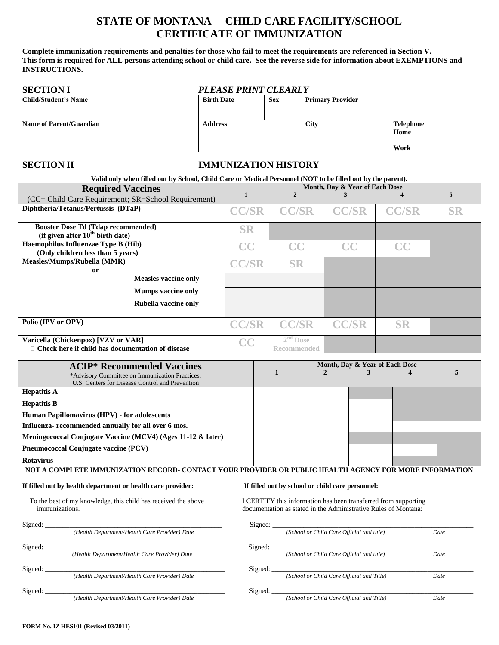## **STATE OF MONTANA— CHILD CARE FACILITY/SCHOOL CERTIFICATE OF IMMUNIZATION**

**Complete immunization requirements and penalties for those who fail to meet the requirements are referenced in Section V. This form is required for ALL persons attending school or child care. See the reverse side for information about EXEMPTIONS and INSTRUCTIONS.**

| <b>SECTION I</b>               | <b>PLEASE PRINT CLEARLY</b> |            |                         |                                  |
|--------------------------------|-----------------------------|------------|-------------------------|----------------------------------|
| <b>Child/Student's Name</b>    | <b>Birth Date</b>           | <b>Sex</b> | <b>Primary Provider</b> |                                  |
| <b>Name of Parent/Guardian</b> | <b>Address</b>              |            | <b>City</b>             | <b>Telephone</b><br>Home<br>Work |

## **SECTION II IMMUNIZATION HISTORY**

| Valid only when filled out by School, Child Care or Medical Personnel (NOT to be filled out by the parent). |                                |                    |              |              |           |
|-------------------------------------------------------------------------------------------------------------|--------------------------------|--------------------|--------------|--------------|-----------|
| <b>Required Vaccines</b>                                                                                    | Month, Day & Year of Each Dose |                    |              |              |           |
| (CC= Child Care Requirement; SR=School Requirement)                                                         |                                |                    |              |              | 5         |
| Diphtheria/Tetanus/Pertussis (DTaP)                                                                         | <b>CC/SR</b>                   | <b>CC/SR</b>       | <b>CC/SR</b> | <b>CC/SR</b> | <b>SR</b> |
| <b>Booster Dose Td (Tdap recommended)</b><br>(if given after $10^{th}$ birth date)                          | <b>SR</b>                      |                    |              |              |           |
| Haemophilus Influenzae Type B (Hib)<br>(Only children less than 5 years)                                    | CC                             | CC                 | CC           | $\bf CC$     |           |
| Measles/Mumps/Rubella (MMR)<br><sub>or</sub>                                                                | <b>CC/SR</b>                   | <b>SR</b>          |              |              |           |
| <b>Measles vaccine only</b>                                                                                 |                                |                    |              |              |           |
| <b>Mumps vaccine only</b>                                                                                   |                                |                    |              |              |           |
| Rubella vaccine only                                                                                        |                                |                    |              |              |           |
| Polio (IPV or OPV)                                                                                          | <b>CC/SR</b>                   | <b>CC/SR</b>       | <b>CC/SR</b> | <b>SR</b>    |           |
| Varicella (Chickenpox) [VZV or VAR]                                                                         | CC                             | $2nd$ Dose         |              |              |           |
| $\Box$ Check here if child has documentation of disease                                                     |                                | <b>Recommended</b> |              |              |           |

| <b>ACIP*</b> Recommended Vaccines                                                                 | Month, Day & Year of Each Dose |  |  |  |  |
|---------------------------------------------------------------------------------------------------|--------------------------------|--|--|--|--|
| *Advisory Committee on Immunization Practices,<br>U.S. Centers for Disease Control and Prevention |                                |  |  |  |  |
| <b>Hepatitis A</b>                                                                                |                                |  |  |  |  |
| <b>Hepatitis B</b>                                                                                |                                |  |  |  |  |
| Human Papillomavirus (HPV) - for adolescents                                                      |                                |  |  |  |  |
| Influenza- recommended annually for all over 6 mos.                                               |                                |  |  |  |  |
| Meningococcal Conjugate Vaccine (MCV4) (Ages 11-12 & later)                                       |                                |  |  |  |  |
| Pneumococcal Conjugate vaccine (PCV)                                                              |                                |  |  |  |  |
| <b>Rotavirus</b>                                                                                  |                                |  |  |  |  |

**NOT A COMPLETE IMMUNIZATION RECORD- CONTACT YOUR PROVIDER OR PUBLIC HEALTH AGENCY FOR MORE INFORMATION**

### **If filled out by health department or health care provider: If filled out by school or child care personnel:**

To the best of my knowledge, this child has received the above I CERTIFY this information has been transferred from supporting

immunizations. documentation as stated in the Administrative Rules of Montana:

| Signed: |                                               | Signed: |                                           |      |
|---------|-----------------------------------------------|---------|-------------------------------------------|------|
|         | (Health Department/Health Care Provider) Date |         | (School or Child Care Official and title) | Date |
| Signed: |                                               | Signed: |                                           |      |
|         | (Health Department/Health Care Provider) Date |         | (School or Child Care Official and title) | Date |
| Signed: |                                               | Signed: |                                           |      |
|         | (Health Department/Health Care Provider) Date |         | (School or Child Care Official and Title) | Date |
| Signed: |                                               | Signed: |                                           |      |
|         | (Health Department/Health Care Provider) Date |         | (School or Child Care Official and Title) | Date |